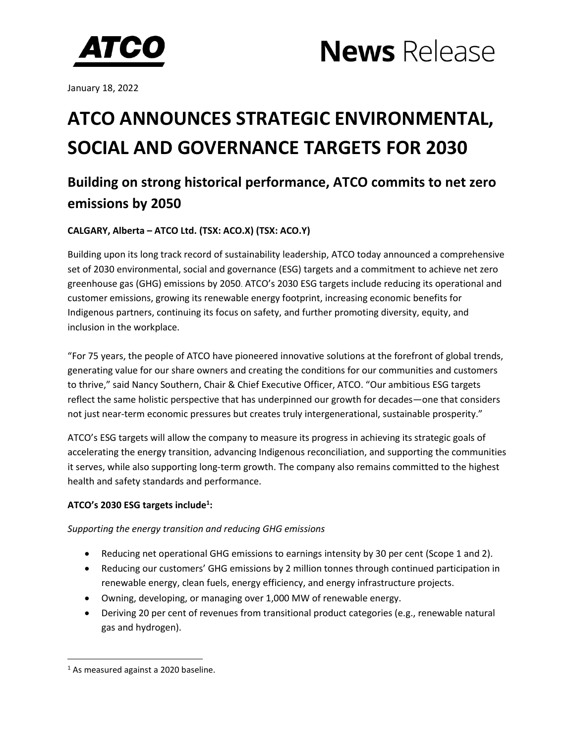



January 18, 2022

### **ATCO ANNOUNCES STRATEGIC ENVIRONMENTAL, SOCIAL AND GOVERNANCE TARGETS FOR 2030**

### **Building on strong historical performance, ATCO commits to net zero emissions by 2050**

#### **CALGARY, Alberta – ATCO Ltd. (TSX: ACO.X) (TSX: ACO.Y)**

Building upon its long track record of sustainability leadership, ATCO today announced a comprehensive set of 2030 environmental, social and governance (ESG) targets and a commitment to achieve net zero greenhouse gas (GHG) emissions by 2050. ATCO's 2030 ESG targets include reducing its operational and customer emissions, growing its renewable energy footprint, increasing economic benefits for Indigenous partners, continuing its focus on safety, and further promoting diversity, equity, and inclusion in the workplace.

"For 75 years, the people of ATCO have pioneered innovative solutions at the forefront of global trends, generating value for our share owners and creating the conditions for our communities and customers to thrive," said Nancy Southern, Chair & Chief Executive Officer, ATCO. "Our ambitious ESG targets reflect the same holistic perspective that has underpinned our growth for decades—one that considers not just near-term economic pressures but creates truly intergenerational, sustainable prosperity."

ATCO's ESG targets will allow the company to measure its progress in achieving its strategic goals of accelerating the energy transition, advancing Indigenous reconciliation, and supporting the communities it serves, while also supporting long-term growth. The company also remains committed to the highest health and safety standards and performance.

#### **ATCO's 2030 ESG targets include<sup>1</sup> :**

*Supporting the energy transition and reducing GHG emissions*

- Reducing net operational GHG emissions to earnings intensity by 30 per cent (Scope 1 and 2).
- Reducing our customers' GHG emissions by 2 million tonnes through continued participation in renewable energy, clean fuels, energy efficiency, and energy infrastructure projects.
- Owning, developing, or managing over 1,000 MW of renewable energy.
- Deriving 20 per cent of revenues from transitional product categories (e.g., renewable natural gas and hydrogen).

<sup>&</sup>lt;sup>1</sup> As measured against a 2020 baseline.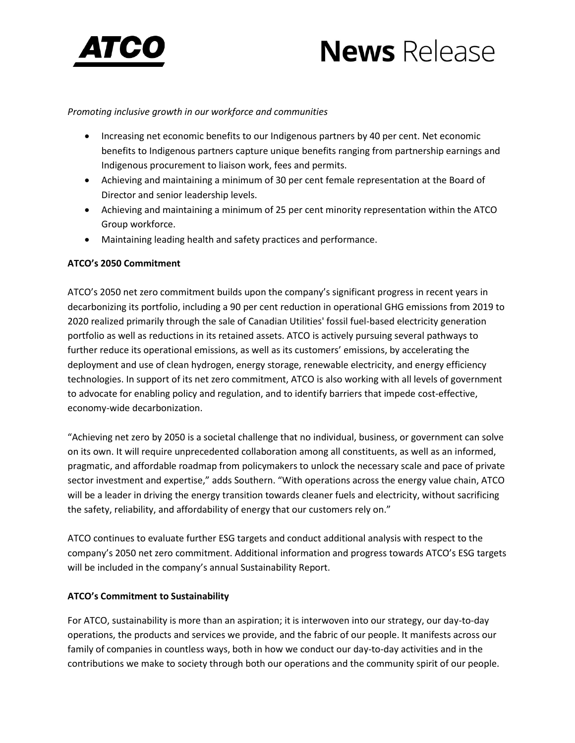

# **News** Release

#### *Promoting inclusive growth in our workforce and communities*

- Increasing net economic benefits to our Indigenous partners by 40 per cent. Net economic benefits to Indigenous partners capture unique benefits ranging from partnership earnings and Indigenous procurement to liaison work, fees and permits.
- Achieving and maintaining a minimum of 30 per cent female representation at the Board of Director and senior leadership levels.
- Achieving and maintaining a minimum of 25 per cent minority representation within the ATCO Group workforce.
- Maintaining leading health and safety practices and performance.

#### **ATCO's 2050 Commitment**

ATCO's 2050 net zero commitment builds upon the company's significant progress in recent years in decarbonizing its portfolio, including a 90 per cent reduction in operational GHG emissions from 2019 to 2020 realized primarily through the sale of Canadian Utilities' fossil fuel-based electricity generation portfolio as well as reductions in its retained assets. ATCO is actively pursuing several pathways to further reduce its operational emissions, as well as its customers' emissions, by accelerating the deployment and use of clean hydrogen, energy storage, renewable electricity, and energy efficiency technologies. In support of its net zero commitment, ATCO is also working with all levels of government to advocate for enabling policy and regulation, and to identify barriers that impede cost-effective, economy-wide decarbonization.

"Achieving net zero by 2050 is a societal challenge that no individual, business, or government can solve on its own. It will require unprecedented collaboration among all constituents, as well as an informed, pragmatic, and affordable roadmap from policymakers to unlock the necessary scale and pace of private sector investment and expertise," adds Southern. "With operations across the energy value chain, ATCO will be a leader in driving the energy transition towards cleaner fuels and electricity, without sacrificing the safety, reliability, and affordability of energy that our customers rely on."

ATCO continues to evaluate further ESG targets and conduct additional analysis with respect to the company's 2050 net zero commitment. Additional information and progress towards ATCO's ESG targets will be included in the company's annual Sustainability Report.

#### **ATCO's Commitment to Sustainability**

For ATCO, sustainability is more than an aspiration; it is interwoven into our strategy, our day-to-day operations, the products and services we provide, and the fabric of our people. It manifests across our family of companies in countless ways, both in how we conduct our day-to-day activities and in the contributions we make to society through both our operations and the community spirit of our people.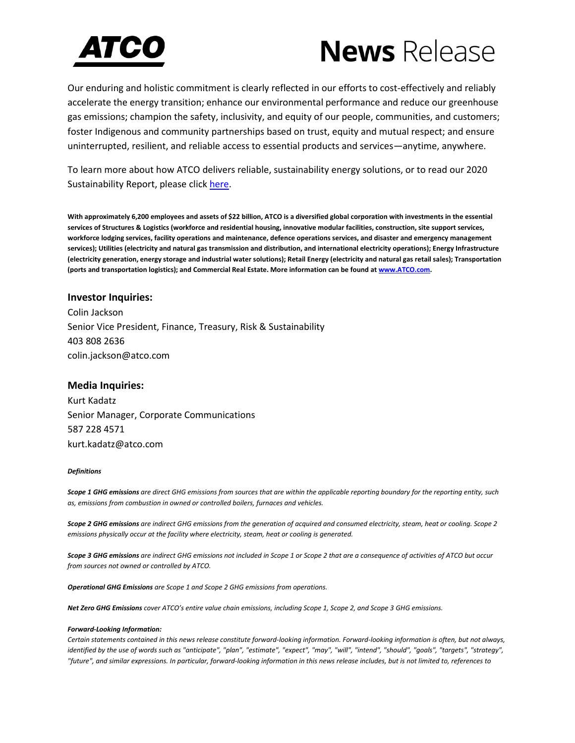

## **News** Release

Our enduring and holistic commitment is clearly reflected in our efforts to cost-effectively and reliably accelerate the energy transition; enhance our environmental performance and reduce our greenhouse gas emissions; champion the safety, inclusivity, and equity of our people, communities, and customers; foster Indigenous and community partnerships based on trust, equity and mutual respect; and ensure uninterrupted, resilient, and reliable access to essential products and services—anytime, anywhere.

To learn more about how ATCO delivers reliable, sustainability energy solutions, or to read our 2020 Sustainability Report, please click [here.](https://www.atco.com/en-ca/our-commitment/sustainability.html)

**With approximately 6,200 employees and assets of \$22 billion, ATCO is a diversified global corporation with investments in the essential services of Structures & Logistics (workforce and residential housing, innovative modular facilities, construction, site support services, workforce lodging services, facility operations and maintenance, defence operations services, and disaster and emergency management services); Utilities (electricity and natural gas transmission and distribution, and international electricity operations); Energy Infrastructure (electricity generation, energy storage and industrial water solutions); Retail Energy (electricity and natural gas retail sales); Transportation (ports and transportation logistics); and Commercial Real Estate. More information can be found at [www.ATCO.com.](http://www.atco.com/)**

#### **Investor Inquiries:**

Colin Jackson Senior Vice President, Finance, Treasury, Risk & Sustainability 403 808 2636 colin.jackson@atco.com

#### **Media Inquiries:**

Kurt Kadatz Senior Manager, Corporate Communications 587 228 4571 kurt.kadatz@atco.com

#### *Definitions*

*Scope 1 GHG emissions are direct GHG emissions from sources that are within the applicable reporting boundary for the reporting entity, such as, emissions from combustion in owned or controlled boilers, furnaces and vehicles.*

*Scope 2 GHG emissions are indirect GHG emissions from the generation of acquired and consumed electricity, steam, heat or cooling. Scope 2 emissions physically occur at the facility where electricity, steam, heat or cooling is generated.*

*Scope 3 GHG emissions are indirect GHG emissions not included in Scope 1 or Scope 2 that are a consequence of activities of ATCO but occur from sources not owned or controlled by ATCO.*

*Operational GHG Emissions are Scope 1 and Scope 2 GHG emissions from operations.*

*Net Zero GHG Emissions cover ATCO's entire value chain emissions, including Scope 1, Scope 2, and Scope 3 GHG emissions.* 

#### *Forward-Looking Information:*

*Certain statements contained in this news release constitute forward-looking information. Forward-looking information is often, but not always, identified by the use of words such as "anticipate", "plan", "estimate", "expect", "may", "will", "intend", "should", "goals", "targets", "strategy", "future", and similar expressions. In particular, forward-looking information in this news release includes, but is not limited to, references to*